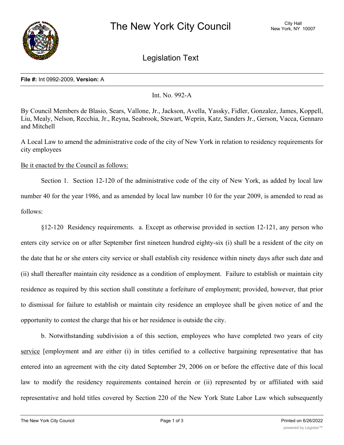

Legislation Text

## **File #:** Int 0992-2009, **Version:** A

Int. No. 992-A

By Council Members de Blasio, Sears, Vallone, Jr., Jackson, Avella, Yassky, Fidler, Gonzalez, James, Koppell, Liu, Mealy, Nelson, Recchia, Jr., Reyna, Seabrook, Stewart, Weprin, Katz, Sanders Jr., Gerson, Vacca, Gennaro and Mitchell

A Local Law to amend the administrative code of the city of New York in relation to residency requirements for city employees

Be it enacted by the Council as follows:

Section 1. Section 12-120 of the administrative code of the city of New York, as added by local law number 40 for the year 1986, and as amended by local law number 10 for the year 2009, is amended to read as follows:

§12-120 Residency requirements. a. Except as otherwise provided in section 12-121, any person who enters city service on or after September first nineteen hundred eighty-six (i) shall be a resident of the city on the date that he or she enters city service or shall establish city residence within ninety days after such date and (ii) shall thereafter maintain city residence as a condition of employment. Failure to establish or maintain city residence as required by this section shall constitute a forfeiture of employment; provided, however, that prior to dismissal for failure to establish or maintain city residence an employee shall be given notice of and the opportunity to contest the charge that his or her residence is outside the city.

b. Notwithstanding subdivision a of this section, employees who have completed two years of city service [employment and are either (i) in titles certified to a collective bargaining representative that has entered into an agreement with the city dated September 29, 2006 on or before the effective date of this local law to modify the residency requirements contained herein or (ii) represented by or affiliated with said representative and hold titles covered by Section 220 of the New York State Labor Law which subsequently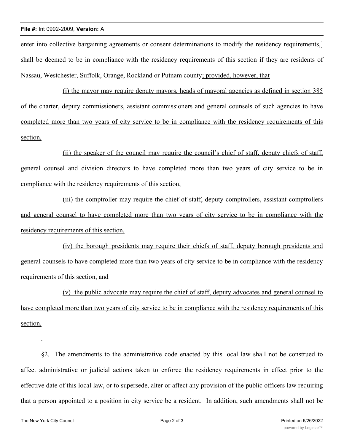## **File #:** Int 0992-2009, **Version:** A

enter into collective bargaining agreements or consent determinations to modify the residency requirements,] shall be deemed to be in compliance with the residency requirements of this section if they are residents of Nassau, Westchester, Suffolk, Orange, Rockland or Putnam county; provided, however, that

(i) the mayor may require deputy mayors, heads of mayoral agencies as defined in section 385 of the charter, deputy commissioners, assistant commissioners and general counsels of such agencies to have completed more than two years of city service to be in compliance with the residency requirements of this section,

(ii) the speaker of the council may require the council's chief of staff, deputy chiefs of staff, general counsel and division directors to have completed more than two years of city service to be in compliance with the residency requirements of this section,

(iii) the comptroller may require the chief of staff, deputy comptrollers, assistant comptrollers and general counsel to have completed more than two years of city service to be in compliance with the residency requirements of this section,

(iv) the borough presidents may require their chiefs of staff, deputy borough presidents and general counsels to have completed more than two years of city service to be in compliance with the residency requirements of this section, and

(v) the public advocate may require the chief of staff, deputy advocates and general counsel to have completed more than two years of city service to be in compliance with the residency requirements of this section,

§2. The amendments to the administrative code enacted by this local law shall not be construed to affect administrative or judicial actions taken to enforce the residency requirements in effect prior to the effective date of this local law, or to supersede, alter or affect any provision of the public officers law requiring that a person appointed to a position in city service be a resident. In addition, such amendments shall not be

.